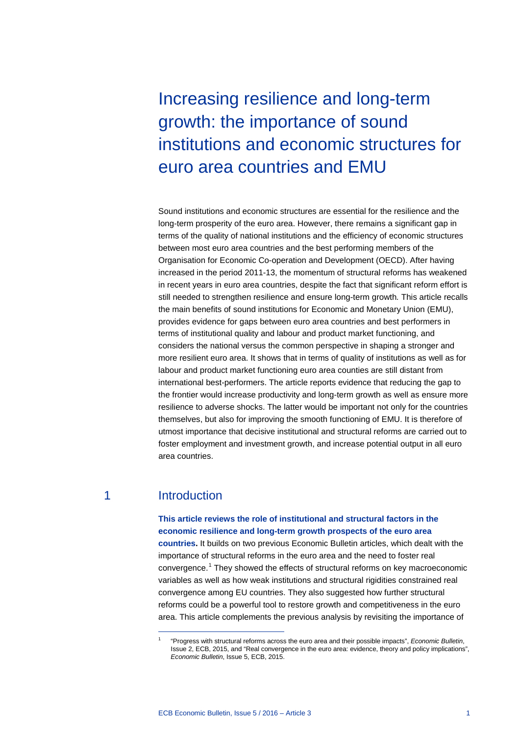Increasing resilience and long-term growth: the importance of sound institutions and economic structures for euro area countries and EMU

Sound institutions and economic structures are essential for the resilience and the long-term prosperity of the euro area. However, there remains a significant gap in terms of the quality of national institutions and the efficiency of economic structures between most euro area countries and the best performing members of the Organisation for Economic Co-operation and Development (OECD). After having increased in the period 2011-13, the momentum of structural reforms has weakened in recent years in euro area countries, despite the fact that significant reform effort is still needed to strengthen resilience and ensure long-term growth*.* This article recalls the main benefits of sound institutions for Economic and Monetary Union (EMU), provides evidence for gaps between euro area countries and best performers in terms of institutional quality and labour and product market functioning, and considers the national versus the common perspective in shaping a stronger and more resilient euro area. It shows that in terms of quality of institutions as well as for labour and product market functioning euro area counties are still distant from international best-performers. The article reports evidence that reducing the gap to the frontier would increase productivity and long-term growth as well as ensure more resilience to adverse shocks. The latter would be important not only for the countries themselves, but also for improving the smooth functioning of EMU. It is therefore of utmost importance that decisive institutional and structural reforms are carried out to foster employment and investment growth, and increase potential output in all euro area countries.

## 1 Introduction

-

### **This article reviews the role of institutional and structural factors in the economic resilience and long-term growth prospects of the euro area**

**countries.** It builds on two previous Economic Bulletin articles, which dealt with the importance of structural reforms in the euro area and the need to foster real convergence. [1](#page-0-0) They showed the effects of structural reforms on key macroeconomic variables as well as how weak institutions and structural rigidities constrained real convergence among EU countries. They also suggested how further structural reforms could be a powerful tool to restore growth and competitiveness in the euro area. This article complements the previous analysis by revisiting the importance of

<span id="page-0-0"></span><sup>1</sup> "Progress with structural reforms across the euro area and their possible impacts", *Economic Bulletin*, Issue 2, ECB, 2015, and "Real convergence in the euro area: evidence, theory and policy implications", *Economic Bulletin*, Issue 5, ECB, 2015.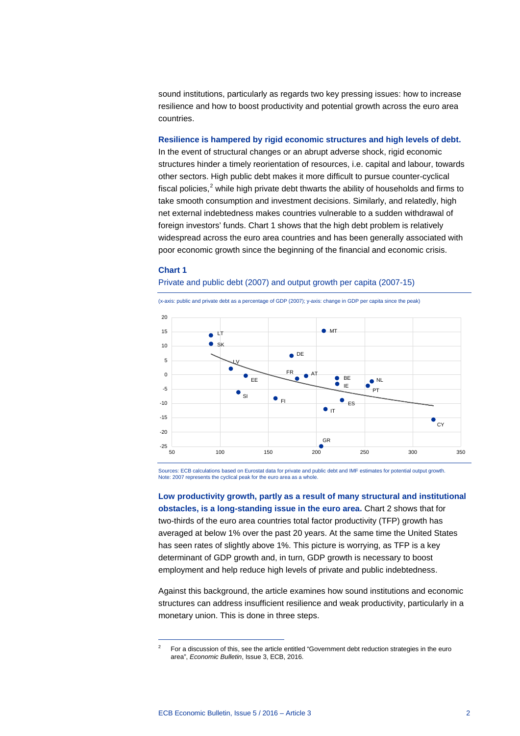sound institutions, particularly as regards two key pressing issues: how to increase resilience and how to boost productivity and potential growth across the euro area countries.

**Resilience is hampered by rigid economic structures and high levels of debt.** In the event of structural changes or an abrupt adverse shock, rigid economic structures hinder a timely reorientation of resources, i.e. capital and labour, towards other sectors. High public debt makes it more difficult to pursue counter-cyclical fiscal policies, [2](#page-1-0) while high private debt thwarts the ability of households and firms to take smooth consumption and investment decisions. Similarly, and relatedly, high net external indebtedness makes countries vulnerable to a sudden withdrawal of foreign investors' funds. Chart 1 shows that the high debt problem is relatively widespread across the euro area countries and has been generally associated with poor economic growth since the beginning of the financial and economic crisis.

#### **Chart 1**

-

#### Private and public debt (2007) and output growth per capita (2007-15)



Sources: ECB calculations based on Eurostat data for private and public debt and IMF estimates for potential output growth. Note: 2007 represents the cyclical peak for the euro area as a whole.

**Low productivity growth, partly as a result of many structural and institutional obstacles, is a long-standing issue in the euro area.** Chart 2 shows that for two-thirds of the euro area countries total factor productivity (TFP) growth has averaged at below 1% over the past 20 years. At the same time the United States has seen rates of slightly above 1%. This picture is worrying, as TFP is a key determinant of GDP growth and, in turn, GDP growth is necessary to boost employment and help reduce high levels of private and public indebtedness.

Against this background, the article examines how sound institutions and economic structures can address insufficient resilience and weak productivity, particularly in a monetary union. This is done in three steps.

<span id="page-1-0"></span> $2^2$  For a discussion of this, see the article entitled "Government debt reduction strategies in the euro area", *Economic Bulletin*, Issue 3, ECB, 2016.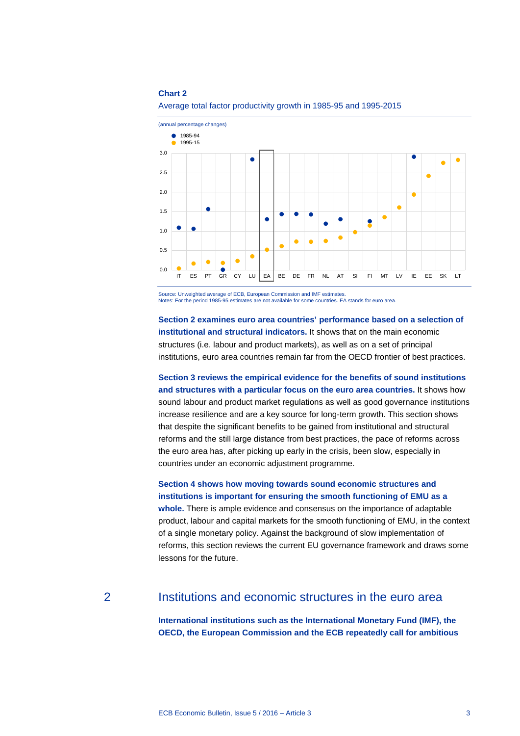

Average total factor productivity growth in 1985-95 and 1995-2015

Source: Unweighted average of ECB, European Commission and IMF estimates. Notes: For the period 1985-95 estimates are not available for some countries. EA stands for euro area.

**Section 2 examines euro area countries' performance based on a selection of institutional and structural indicators.** It shows that on the main economic structures (i.e. labour and product markets), as well as on a set of principal institutions, euro area countries remain far from the OECD frontier of best practices.

**Section 3 reviews the empirical evidence for the benefits of sound institutions and structures with a particular focus on the euro area countries.** It shows how sound labour and product market regulations as well as good governance institutions increase resilience and are a key source for long-term growth. This section shows that despite the significant benefits to be gained from institutional and structural reforms and the still large distance from best practices, the pace of reforms across the euro area has, after picking up early in the crisis, been slow, especially in countries under an economic adjustment programme.

**Section 4 shows how moving towards sound economic structures and institutions is important for ensuring the smooth functioning of EMU as a whole.** There is ample evidence and consensus on the importance of adaptable

product, labour and capital markets for the smooth functioning of EMU, in the context of a single monetary policy. Against the background of slow implementation of reforms, this section reviews the current EU governance framework and draws some lessons for the future.

### 2 Institutions and economic structures in the euro area

**International institutions such as the International Monetary Fund (IMF), the OECD, the European Commission and the ECB repeatedly call for ambitious**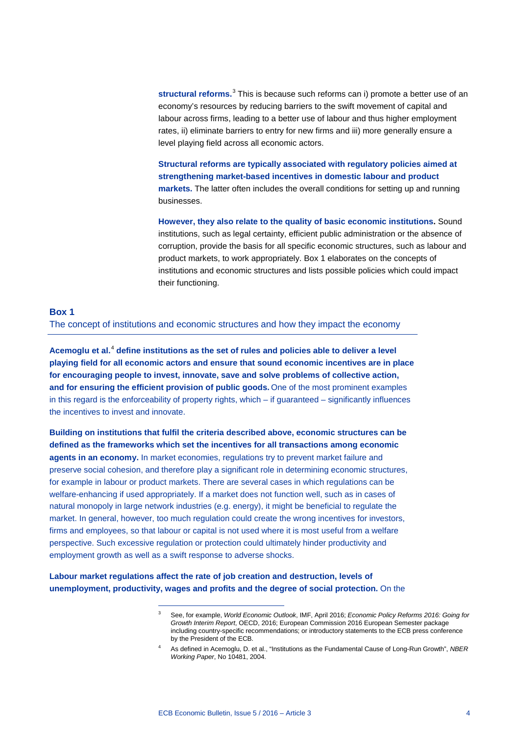**structural reforms.** [3](#page-3-0) This is because such reforms can i) promote a better use of an economy's resources by reducing barriers to the swift movement of capital and labour across firms, leading to a better use of labour and thus higher employment rates, ii) eliminate barriers to entry for new firms and iii) more generally ensure a level playing field across all economic actors.

**Structural reforms are typically associated with regulatory policies aimed at strengthening market-based incentives in domestic labour and product markets.** The latter often includes the overall conditions for setting up and running businesses.

**However, they also relate to the quality of basic economic institutions.** Sound institutions, such as legal certainty, efficient public administration or the absence of corruption, provide the basis for all specific economic structures, such as labour and product markets, to work appropriately. Box 1 elaborates on the concepts of institutions and economic structures and lists possible policies which could impact their functioning.

### **Box 1** The concept of institutions and economic structures and how they impact the economy

**Acemoglu et al.**[4](#page-3-1) **define institutions as the set of rules and policies able to deliver a level playing field for all economic actors and ensure that sound economic incentives are in place for encouraging people to invest, innovate, save and solve problems of collective action, and for ensuring the efficient provision of public goods.** One of the most prominent examples in this regard is the enforceability of property rights, which – if guaranteed – significantly influences the incentives to invest and innovate.

**Building on institutions that fulfil the criteria described above, economic structures can be defined as the frameworks which set the incentives for all transactions among economic agents in an economy.** In market economies, regulations try to prevent market failure and preserve social cohesion, and therefore play a significant role in determining economic structures, for example in labour or product markets. There are several cases in which regulations can be welfare-enhancing if used appropriately. If a market does not function well, such as in cases of natural monopoly in large network industries (e.g. energy), it might be beneficial to regulate the market. In general, however, too much regulation could create the wrong incentives for investors, firms and employees, so that labour or capital is not used where it is most useful from a welfare perspective. Such excessive regulation or protection could ultimately hinder productivity and employment growth as well as a swift response to adverse shocks.

<span id="page-3-1"></span><span id="page-3-0"></span>**Labour market regulations affect the rate of job creation and destruction, levels of unemployment, productivity, wages and profits and the degree of social protection.** On the

-

<sup>3</sup> See, for example, *World Economic Outlook*, IMF, April 2016; *Economic Policy Reforms 2016: Going for Growth Interim Report*, OECD, 2016; European Commission 2016 European Semester package including country-specific recommendations; or introductory statements to the ECB press conference by the President of the ECB.

<sup>4</sup> As defined in Acemoglu, D. et al., "Institutions as the Fundamental Cause of Long-Run Growth", *NBER Working Paper*, No 10481, 2004.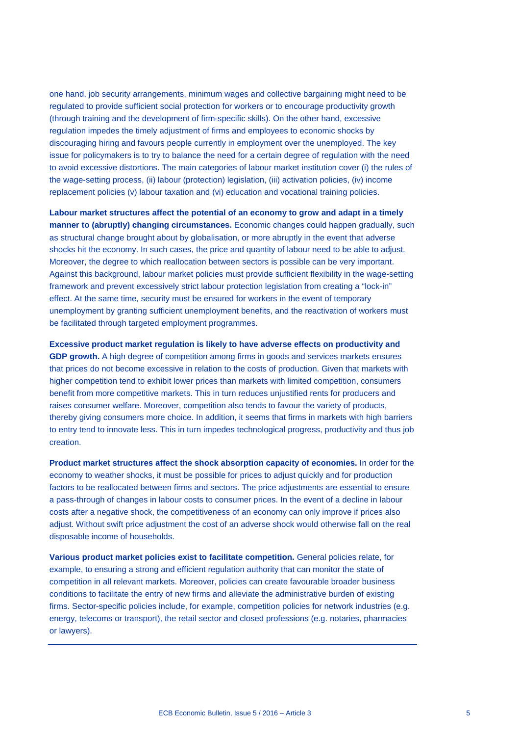one hand, job security arrangements, minimum wages and collective bargaining might need to be regulated to provide sufficient social protection for workers or to encourage productivity growth (through training and the development of firm-specific skills). On the other hand, excessive regulation impedes the timely adjustment of firms and employees to economic shocks by discouraging hiring and favours people currently in employment over the unemployed. The key issue for policymakers is to try to balance the need for a certain degree of regulation with the need to avoid excessive distortions. The main categories of labour market institution cover (i) the rules of the wage-setting process, (ii) labour (protection) legislation, (iii) activation policies, (iv) income replacement policies (v) labour taxation and (vi) education and vocational training policies.

**Labour market structures affect the potential of an economy to grow and adapt in a timely manner to (abruptly) changing circumstances.** Economic changes could happen gradually, such as structural change brought about by globalisation, or more abruptly in the event that adverse shocks hit the economy. In such cases, the price and quantity of labour need to be able to adjust. Moreover, the degree to which reallocation between sectors is possible can be very important. Against this background, labour market policies must provide sufficient flexibility in the wage-setting framework and prevent excessively strict labour protection legislation from creating a "lock-in" effect. At the same time, security must be ensured for workers in the event of temporary unemployment by granting sufficient unemployment benefits, and the reactivation of workers must be facilitated through targeted employment programmes.

**Excessive product market regulation is likely to have adverse effects on productivity and GDP growth.** A high degree of competition among firms in goods and services markets ensures that prices do not become excessive in relation to the costs of production. Given that markets with higher competition tend to exhibit lower prices than markets with limited competition, consumers benefit from more competitive markets. This in turn reduces unjustified rents for producers and raises consumer welfare. Moreover, competition also tends to favour the variety of products, thereby giving consumers more choice. In addition, it seems that firms in markets with high barriers to entry tend to innovate less. This in turn impedes technological progress, productivity and thus job creation.

**Product market structures affect the shock absorption capacity of economies.** In order for the economy to weather shocks, it must be possible for prices to adjust quickly and for production factors to be reallocated between firms and sectors. The price adjustments are essential to ensure a pass-through of changes in labour costs to consumer prices. In the event of a decline in labour costs after a negative shock, the competitiveness of an economy can only improve if prices also adjust. Without swift price adjustment the cost of an adverse shock would otherwise fall on the real disposable income of households.

**Various product market policies exist to facilitate competition.** General policies relate, for example, to ensuring a strong and efficient regulation authority that can monitor the state of competition in all relevant markets. Moreover, policies can create favourable broader business conditions to facilitate the entry of new firms and alleviate the administrative burden of existing firms. Sector-specific policies include, for example, competition policies for network industries (e.g. energy, telecoms or transport), the retail sector and closed professions (e.g. notaries, pharmacies or lawyers).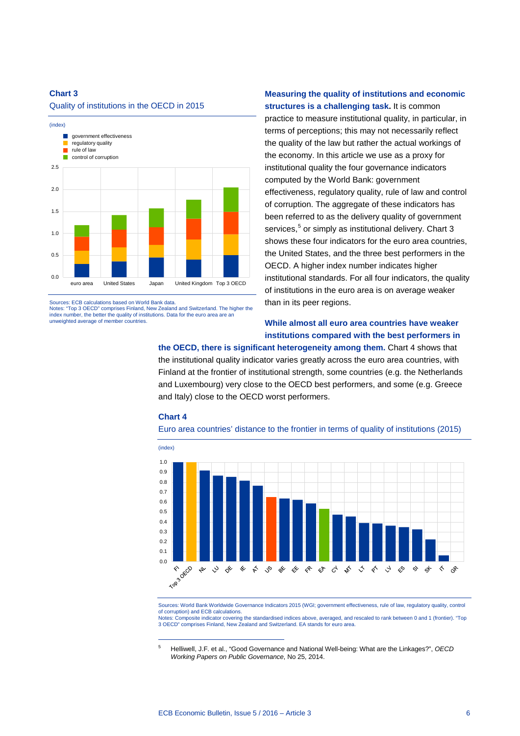#### Quality of institutions in the OECD in 2015



Sources: ECB calculations based on World Bank data.

Notes: "Top 3 OECD" comprises Finland, New Zealand and Switzerland. The higher the index number, the better the quality of institutions. Data for the euro area are an unweighted average of member countries.

### **Measuring the quality of institutions and economic structures is a challenging task.** It is common

practice to measure institutional quality, in particular, in terms of perceptions; this may not necessarily reflect the quality of the law but rather the actual workings of the economy. In this article we use as a proxy for institutional quality the four governance indicators computed by the World Bank: government effectiveness, regulatory quality, rule of law and control of corruption. The aggregate of these indicators has been referred to as the delivery quality of government services, [5](#page-5-0) or simply as institutional delivery. Chart 3 shows these four indicators for the euro area countries, the United States, and the three best performers in the OECD. A higher index number indicates higher institutional standards. For all four indicators, the quality of institutions in the euro area is on average weaker than in its peer regions.

### **While almost all euro area countries have weaker institutions compared with the best performers in**

**the OECD, there is significant heterogeneity among them.** Chart 4 shows that the institutional quality indicator varies greatly across the euro area countries, with Finland at the frontier of institutional strength, some countries (e.g. the Netherlands and Luxembourg) very close to the OECD best performers, and some (e.g. Greece and Italy) close to the OECD worst performers.

#### **Chart 4**

-





Sources: World Bank Worldwide Governance Indicators 2015 (WGI; government effectiveness, rule of law, regulatory quality, control of corruption) and ECB calculations. Notes: Composite indicator covering the standardised indices above, averaged, and rescaled to rank between 0 and 1 (frontier). "Top 3 OECD" comprises Finland, New Zealand and Switzerland. EA stands for euro area.

<span id="page-5-0"></span><sup>5</sup> Helliwell, J.F. et al., "Good Governance and National Well-being: What are the Linkages?", *OECD Working Papers on Public Governance*, No 25, 2014.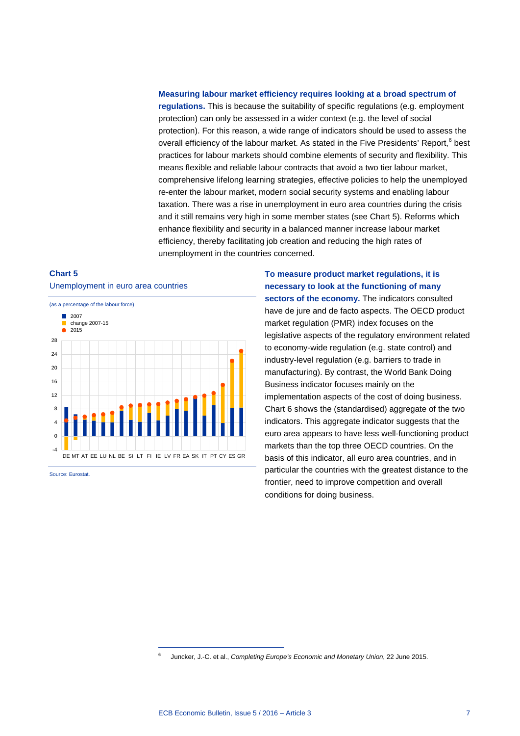#### **Measuring labour market efficiency requires looking at a broad spectrum of**

**regulations.** This is because the suitability of specific regulations (e.g. employment protection) can only be assessed in a wider context (e.g. the level of social protection). For this reason, a wide range of indicators should be used to assess the overall efficiency of the labour market. As stated in the Five Presidents' Report,<sup>[6](#page-6-0)</sup> best practices for labour markets should combine elements of security and flexibility. This means flexible and reliable labour contracts that avoid a two tier labour market, comprehensive lifelong learning strategies, effective policies to help the unemployed re-enter the labour market, modern social security systems and enabling labour taxation. There was a rise in unemployment in euro area countries during the crisis and it still remains very high in some member states (see Chart 5). Reforms which enhance flexibility and security in a balanced manner increase labour market efficiency, thereby facilitating job creation and reducing the high rates of unemployment in the countries concerned.

### **Chart 5** Unemployment in euro area countries



<span id="page-6-0"></span>-

Source: Eurostat.

**To measure product market regulations, it is necessary to look at the functioning of many**  sectors of the economy. The indicators consulted have de jure and de facto aspects. The OECD product market regulation (PMR) index focuses on the legislative aspects of the regulatory environment related to economy-wide regulation (e.g. state control) and industry-level regulation (e.g. barriers to trade in manufacturing). By contrast, the World Bank Doing Business indicator focuses mainly on the implementation aspects of the cost of doing business. Chart 6 shows the (standardised) aggregate of the two indicators. This aggregate indicator suggests that the euro area appears to have less well-functioning product markets than the top three OECD countries. On the basis of this indicator, all euro area countries, and in particular the countries with the greatest distance to the frontier, need to improve competition and overall conditions for doing business.

<sup>6</sup> Juncker, J.-C. et al., *Completing Europe's Economic and Monetary Union*, 22 June 2015.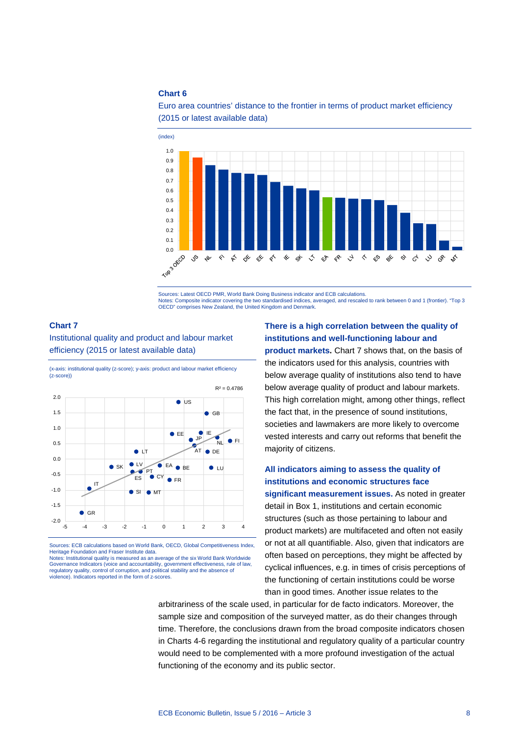0.0 0.0 0.0

 $\sqrt{2}$  $\overline{\mathscr{U}}$ ♦  $\begin{array}{c} \star \end{array}$  & & &

0.1 0.2 0.3 0.4 0.5 0.6 0.7 0.8  $0.9$ 





Sources: Latest OECD PMR, World Bank Doing Business indicator and ECB calculations. Notes: Composite indicator covering the two standardised indices, averaged, and rescaled to rank between 0 and 1 (frontier). "Top 3 OECD" comprises New Zealand, the United Kingdom and Denmark.

 $\begin{array}{cc} & \ast & \ast \ & & \end{array}$ 

#### <span id="page-7-0"></span>**Chart 7**

Institutional quality and product and labour market efficiency (2015 or latest available data)

(x-axis: institutional quality (z-score); y-axis: product and labour market efficiency (z-score))



Sources: ECB calculations based on World Bank, OECD, Global Competitiveness Index, Heritage Foundation and Fraser Institute data. Notes: Institutional quality is measured as an average of the six World Bank Worldwide

Governance Indicators (voice and accountability, government effectiveness, rule of law, regulatory quality, control of corruption, and political stability and the absence of violence). Indicators reported in the form of z-scores.

### **There is a high correlation between the quality of institutions and well-functioning labour and**

こうぐうぐんかく

්

なやく

**product markets.** [Chart 7](#page-7-0) shows that, on the basis of the indicators used for this analysis, countries with below average quality of institutions also tend to have below average quality of product and labour markets. This high correlation might, among other things, reflect the fact that, in the presence of sound institutions, societies and lawmakers are more likely to overcome vested interests and carry out reforms that benefit the majority of citizens.

### **All indicators aiming to assess the quality of institutions and economic structures face**

**significant measurement issues.** As noted in greater detail in Box 1, institutions and certain economic structures (such as those pertaining to labour and product markets) are multifaceted and often not easily or not at all quantifiable. Also, given that indicators are often based on perceptions, they might be affected by cyclical influences, e.g. in times of crisis perceptions of the functioning of certain institutions could be worse than in good times. Another issue relates to the

arbitrariness of the scale used, in particular for de facto indicators. Moreover, the sample size and composition of the surveyed matter, as do their changes through time. Therefore, the conclusions drawn from the broad composite indicators chosen in Charts 4-6 regarding the institutional and regulatory quality of a particular country would need to be complemented with a more profound investigation of the actual functioning of the economy and its public sector.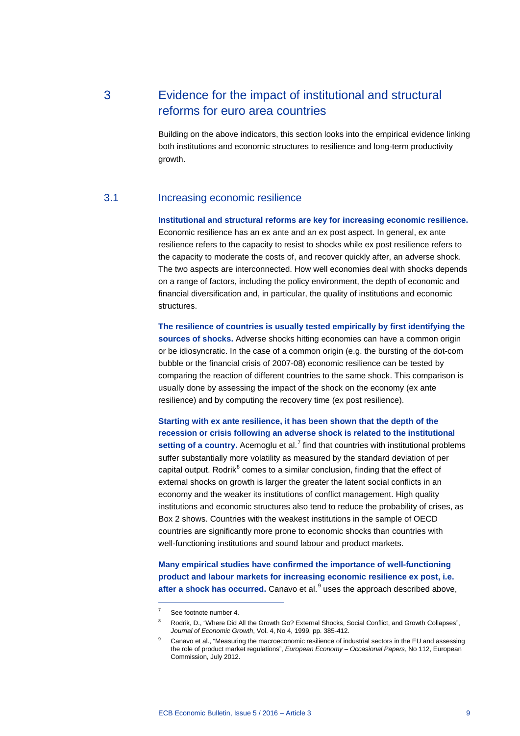# 3 Evidence for the impact of institutional and structural reforms for euro area countries

Building on the above indicators, this section looks into the empirical evidence linking both institutions and economic structures to resilience and long-term productivity growth.

### 3.1 Increasing economic resilience

**Institutional and structural reforms are key for increasing economic resilience.** Economic resilience has an ex ante and an ex post aspect. In general, ex ante resilience refers to the capacity to resist to shocks while ex post resilience refers to the capacity to moderate the costs of, and recover quickly after, an adverse shock. The two aspects are interconnected. How well economies deal with shocks depends on a range of factors, including the policy environment, the depth of economic and financial diversification and, in particular, the quality of institutions and economic structures.

**The resilience of countries is usually tested empirically by first identifying the sources of shocks.** Adverse shocks hitting economies can have a common origin or be idiosyncratic. In the case of a common origin (e.g. the bursting of the dot-com bubble or the financial crisis of 2007-08) economic resilience can be tested by comparing the reaction of different countries to the same shock. This comparison is usually done by assessing the impact of the shock on the economy (ex ante resilience) and by computing the recovery time (ex post resilience).

**Starting with ex ante resilience, it has been shown that the depth of the recession or crisis following an adverse shock is related to the institutional**  setting of a country. Acemoglu et al.<sup>[7](#page-8-0)</sup> find that countries with institutional problems suffer substantially more volatility as measured by the standard deviation of per capital output. Rodrik $<sup>8</sup>$  $<sup>8</sup>$  $<sup>8</sup>$  comes to a similar conclusion, finding that the effect of</sup> external shocks on growth is larger the greater the latent social conflicts in an economy and the weaker its institutions of conflict management. High quality institutions and economic structures also tend to reduce the probability of crises, as Box 2 shows. Countries with the weakest institutions in the sample of OECD countries are significantly more prone to economic shocks than countries with well-functioning institutions and sound labour and product markets.

**Many empirical studies have confirmed the importance of well-functioning product and labour markets for increasing economic resilience ex post, i.e.**  after a shock has occurred. Canavo et al.<sup>[9](#page-8-2)</sup> uses the approach described above,

-

<span id="page-8-0"></span>See footnote number 4.

<span id="page-8-1"></span>Rodrik, D., "Where Did All the Growth Go? External Shocks, Social Conflict, and Growth Collapses", *Journal of Economic Growth*, Vol. 4, No 4, 1999, pp. 385-412.

<span id="page-8-2"></span><sup>9</sup> Canavo et al., "Measuring the macroeconomic resilience of industrial sectors in the EU and assessing the role of product market regulations", *European Economy – Occasional Papers*, No 112, European Commission, July 2012.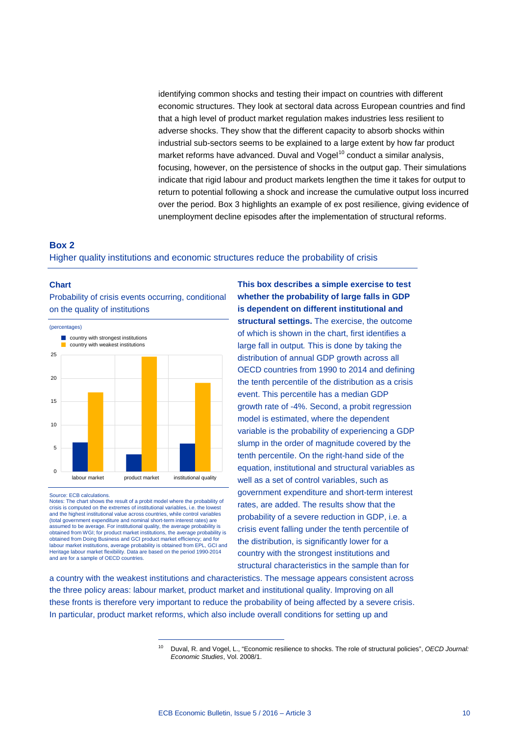identifying common shocks and testing their impact on countries with different economic structures. They look at sectoral data across European countries and find that a high level of product market regulation makes industries less resilient to adverse shocks. They show that the different capacity to absorb shocks within industrial sub-sectors seems to be explained to a large extent by how far product market reforms have advanced. Duval and  $V$ ogel $10$  conduct a similar analysis, focusing, however, on the persistence of shocks in the output gap. Their simulations indicate that rigid labour and product markets lengthen the time it takes for output to return to potential following a shock and increase the cumulative output loss incurred over the period. Box 3 highlights an example of ex post resilience, giving evidence of unemployment decline episodes after the implementation of structural reforms.

### **Box 2** Higher quality institutions and economic structures reduce the probability of crisis

#### **Chart**

Probability of crisis events occurring, conditional on the quality of institutions



Source: ECB calculations.

Notes: The chart shows the result of a probit model where the probability of crisis is computed on the extremes of institutional variables, i.e. the low and the highest institutional value across countries, while control variables (total government expenditure and nominal short-term interest rates) are assumed to be average. For institutional quality, the average probability is obtained from WGI; for product market institutions, the average probability is obtained from Doing Business and GCI product market efficiency; and for labour market institutions, average probability is obtained from EPL, GCI and Heritage labour market flexibility. Data are based on the period 1990-2014 and are for a sample of OECD countries.

-

**This box describes a simple exercise to test whether the probability of large falls in GDP is dependent on different institutional and structural settings.** The exercise, the outcome of which is shown in the chart, first identifies a large fall in output*.* This is done by taking the distribution of annual GDP growth across all OECD countries from 1990 to 2014 and defining the tenth percentile of the distribution as a crisis event. This percentile has a median GDP growth rate of -4%. Second, a probit regression model is estimated, where the dependent variable is the probability of experiencing a GDP slump in the order of magnitude covered by the tenth percentile. On the right-hand side of the equation, institutional and structural variables as well as a set of control variables, such as government expenditure and short-term interest rates, are added. The results show that the probability of a severe reduction in GDP, i.e. a crisis event falling under the tenth percentile of the distribution, is significantly lower for a country with the strongest institutions and structural characteristics in the sample than for

<span id="page-9-0"></span>a country with the weakest institutions and characteristics. The message appears consistent across the three policy areas: labour market, product market and institutional quality. Improving on all these fronts is therefore very important to reduce the probability of being affected by a severe crisis. In particular, product market reforms, which also include overall conditions for setting up and

<sup>10</sup> Duval, R. and Vogel, L., "Economic resilience to shocks. The role of structural policies", *OECD Journal: Economic Studies*, Vol. 2008/1.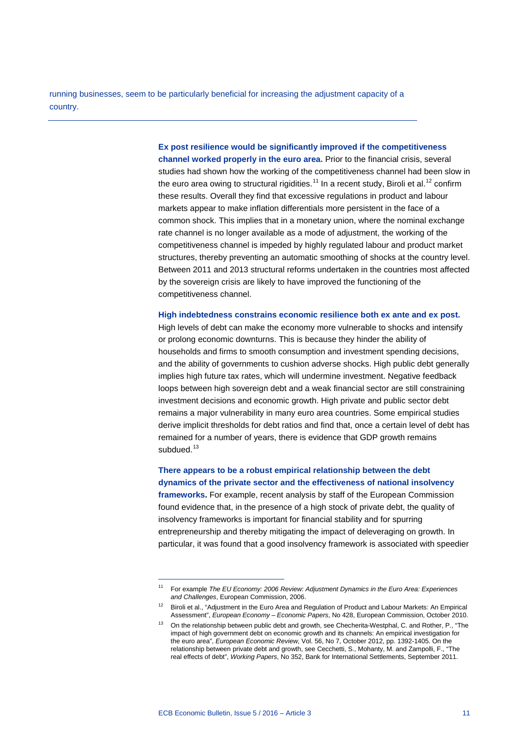running businesses, seem to be particularly beneficial for increasing the adjustment capacity of a country.

> **Ex post resilience would be significantly improved if the competitiveness channel worked properly in the euro area.** Prior to the financial crisis, several studies had shown how the working of the competitiveness channel had been slow in the euro area owing to structural rigidities.<sup>[11](#page-10-0)</sup> In a recent study, Biroli et al.<sup>[12](#page-10-1)</sup> confirm these results. Overall they find that excessive regulations in product and labour markets appear to make inflation differentials more persistent in the face of a common shock. This implies that in a monetary union, where the nominal exchange rate channel is no longer available as a mode of adjustment, the working of the competitiveness channel is impeded by highly regulated labour and product market structures, thereby preventing an automatic smoothing of shocks at the country level. Between 2011 and 2013 structural reforms undertaken in the countries most affected by the sovereign crisis are likely to have improved the functioning of the competitiveness channel.

**High indebtedness constrains economic resilience both ex ante and ex post.**

High levels of debt can make the economy more vulnerable to shocks and intensify or prolong economic downturns. This is because they hinder the ability of households and firms to smooth consumption and investment spending decisions, and the ability of governments to cushion adverse shocks. High public debt generally implies high future tax rates, which will undermine investment. Negative feedback loops between high sovereign debt and a weak financial sector are still constraining investment decisions and economic growth. High private and public sector debt remains a major vulnerability in many euro area countries. Some empirical studies derive implicit thresholds for debt ratios and find that, once a certain level of debt has remained for a number of years, there is evidence that GDP growth remains subdued. $13$ 

**There appears to be a robust empirical relationship between the debt dynamics of the private sector and the effectiveness of national insolvency** 

**frameworks.** For example, recent analysis by staff of the European Commission found evidence that, in the presence of a high stock of private debt, the quality of insolvency frameworks is important for financial stability and for spurring entrepreneurship and thereby mitigating the impact of deleveraging on growth. In particular, it was found that a good insolvency framework is associated with speedier

-

<span id="page-10-0"></span><sup>11</sup> For example *The EU Economy: 2006 Review: Adjustment Dynamics in the Euro Area: Experiences and Challenges*, European Commission, 2006.

<span id="page-10-1"></span><sup>&</sup>lt;sup>12</sup> Biroli et al., "Adjustment in the Euro Area and Regulation of Product and Labour Markets: An Empirical Assessment", *European Economy – Economic Papers*, No 428, European Commission, October 2010.

<span id="page-10-2"></span><sup>13</sup> On the relationship between public debt and growth, see Checherita-Westphal, C. and Rother, P., "The impact of high government debt on economic growth and its channels: An empirical investigation for the euro area", *European Economic Review*, Vol. 56, No 7, October 2012, pp. 1392-1405. On the relationship between private debt and growth, see Cecchetti, S., Mohanty, M. and Zampolli, F., "The real effects of debt", *Working Papers*, No 352, Bank for International Settlements, September 2011.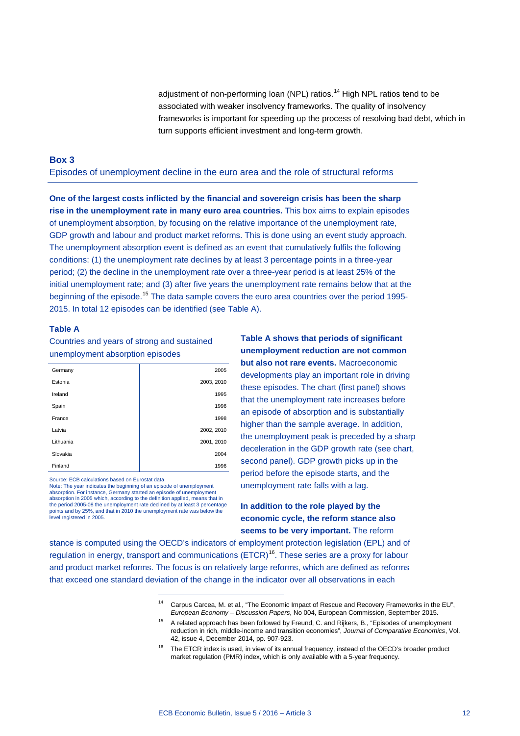adjustment of non-performing loan (NPL) ratios.<sup>[14](#page-11-0)</sup> High NPL ratios tend to be associated with weaker insolvency frameworks. The quality of insolvency frameworks is important for speeding up the process of resolving bad debt, which in turn supports efficient investment and long-term growth.

#### **Box 3**

Episodes of unemployment decline in the euro area and the role of structural reforms

**One of the largest costs inflicted by the financial and sovereign crisis has been the sharp rise in the unemployment rate in many euro area countries.** This box aims to explain episodes of unemployment absorption, by focusing on the relative importance of the unemployment rate, GDP growth and labour and product market reforms. This is done using an event study approach. The unemployment absorption event is defined as an event that cumulatively fulfils the following conditions: (1) the unemployment rate declines by at least 3 percentage points in a three-year period; (2) the decline in the unemployment rate over a three-year period is at least 25% of the initial unemployment rate; and (3) after five years the unemployment rate remains below that at the beginning of the episode.[15](#page-11-1) The data sample covers the euro area countries over the period 1995- 2015. In total 12 episodes can be identified (see Table A).

#### **Table A**

Countries and years of strong and sustained unemployment absorption episodes

| Germany   | 2005       |
|-----------|------------|
| Estonia   | 2003, 2010 |
| Ireland   | 1995       |
| Spain     | 1996       |
| France    | 1998       |
| Latvia    | 2002, 2010 |
| Lithuania | 2001, 2010 |
| Slovakia  | 2004       |
| Finland   | 1996       |

Source: ECB calculations based on Eurostat data.

Note: The year indicates the beginning of an episode of unemployment absorption. For instance, Germany started an episode of unemployment absorption in 2005 which, according to the definition applied, means that in the period 2005-08 the unemployment rate declined by at least 3 percentage points and by 25%, and that in 2010 the unemployment rate was below the level registered in 2005.

-

**Table A shows that periods of significant unemployment reduction are not common but also not rare events.** Macroeconomic developments play an important role in driving these episodes. The chart (first panel) shows that the unemployment rate increases before an episode of absorption and is substantially higher than the sample average. In addition, the unemployment peak is preceded by a sharp deceleration in the GDP growth rate (see chart, second panel). GDP growth picks up in the period before the episode starts, and the unemployment rate falls with a lag.

### **In addition to the role played by the economic cycle, the reform stance also seems to be very important.** The reform

<span id="page-11-2"></span><span id="page-11-1"></span><span id="page-11-0"></span>stance is computed using the OECD's indicators of employment protection legislation (EPL) and of regulation in energy, transport and communications (ETCR)<sup>16</sup>. These series are a proxy for labour and product market reforms. The focus is on relatively large reforms, which are defined as reforms that exceed one standard deviation of the change in the indicator over all observations in each

<sup>14</sup> Carpus Carcea, M. et al., "The Economic Impact of Rescue and Recovery Frameworks in the EU", *European Economy – Discussion Papers*, No 004, European Commission, September 2015.

<sup>&</sup>lt;sup>15</sup> A related approach has been followed by Freund, C. and Rijkers, B., "Episodes of unemployment reduction in rich, middle-income and transition economies", *Journal of Comparative Economics*, Vol. 42, issue 4, December 2014, pp. 907-923.

<sup>&</sup>lt;sup>16</sup> The ETCR index is used, in view of its annual frequency, instead of the OECD's broader product market regulation (PMR) index, which is only available with a 5-year frequency.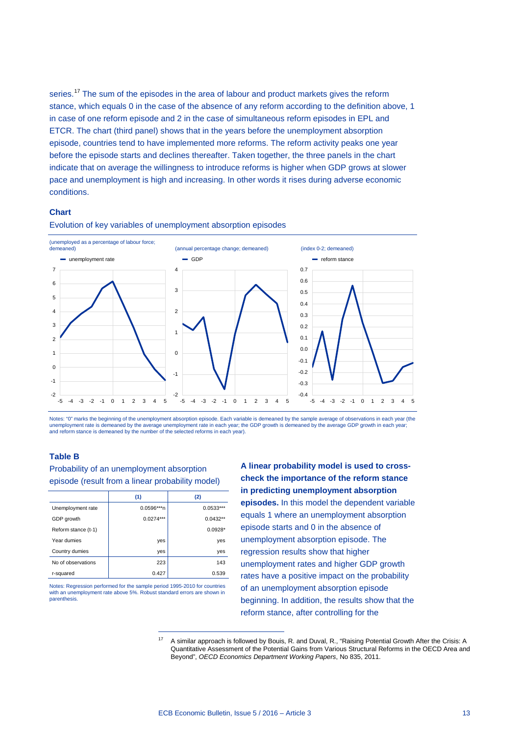series.<sup>[17](#page-12-0)</sup> The sum of the episodes in the area of labour and product markets gives the reform stance, which equals 0 in the case of the absence of any reform according to the definition above, 1 in case of one reform episode and 2 in the case of simultaneous reform episodes in EPL and ETCR. The chart (third panel) shows that in the years before the unemployment absorption episode, countries tend to have implemented more reforms. The reform activity peaks one year before the episode starts and declines thereafter. Taken together, the three panels in the chart indicate that on average the willingness to introduce reforms is higher when GDP grows at slower pace and unemployment is high and increasing. In other words it rises during adverse economic conditions.

#### **Chart**



Evolution of key variables of unemployment absorption episodes

Notes: "0" marks the beginning of the unemployment absorption episode. Each variable is demeaned by the sample average of observations in each year (the unemployment rate is demeaned by the average unemployment rate in each year; the GDP growth is demeaned by the average GDP growth in each year; and reform stance is demeaned by the number of the selected reforms in each year).

#### **Table B**

Probability of an unemployment absorption episode (result from a linear probability model)

|                     | (1)           | (2)         |  |
|---------------------|---------------|-------------|--|
| Unemployment rate   | $0.0596***$ n | $0.0533***$ |  |
| GDP growth          | $0.0274***$   | $0.0432**$  |  |
| Reform stance (t-1) |               | $0.0928*$   |  |
| Year dumies         | yes           | yes         |  |
| Country dumies      | yes           | yes         |  |
| No of observations  | 223           | 143         |  |
| r-squared           | 0.427         | 0.539       |  |

<span id="page-12-0"></span>Notes: Regression performed for the sample period 1995-2010 for countries with an unemployment rate above 5%. Robust standard errors are shown in parenthesis

-

**A linear probability model is used to crosscheck the importance of the reform stance in predicting unemployment absorption episodes.** In this model the dependent variable equals 1 where an unemployment absorption episode starts and 0 in the absence of unemployment absorption episode. The regression results show that higher unemployment rates and higher GDP growth rates have a positive impact on the probability of an unemployment absorption episode beginning. In addition, the results show that the reform stance, after controlling for the

<sup>17</sup> A similar approach is followed by Bouis, R. and Duval, R., "Raising Potential Growth After the Crisis: A Quantitative Assessment of the Potential Gains from Various Structural Reforms in the OECD Area and Beyond", *OECD Economics Department Working Papers*, No 835, 2011.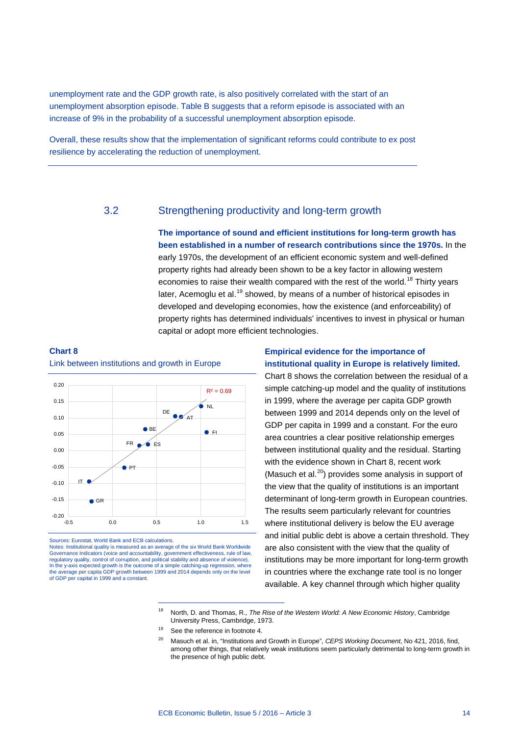unemployment rate and the GDP growth rate, is also positively correlated with the start of an unemployment absorption episode. Table B suggests that a reform episode is associated with an increase of 9% in the probability of a successful unemployment absorption episode.

Overall, these results show that the implementation of significant reforms could contribute to ex post resilience by accelerating the reduction of unemployment.

### 3.2 Strengthening productivity and long-term growth

**The importance of sound and efficient institutions for long-term growth has been established in a number of research contributions since the 1970s.** In the early 1970s, the development of an efficient economic system and well-defined property rights had already been shown to be a key factor in allowing western economies to raise their wealth compared with the rest of the world.<sup>[18](#page-13-1)</sup> Thirty years later, Acemoglu et al.<sup>[19](#page-13-2)</sup> showed, by means of a number of historical episodes in developed and developing economies, how the existence (and enforceability) of property rights has determined individuals' incentives to invest in physical or human capital or adopt more efficient technologies.

#### <span id="page-13-0"></span>**Chart 8**

Link between institutions and growth in Europe



Sources: Eurostat, World Bank and ECB calculations.

<span id="page-13-3"></span><span id="page-13-2"></span><span id="page-13-1"></span>Notes: Institutional quality is measured as an average of the six World Bank Worldwide Governance Indicators (voice and accountability, government effectiveness, rule of law, regulatory quality, control of corruption, and political stability and absence of violence). In the y-axis expected growth is the outcome of a simple catching-up regression, where the average per capita GDP growth between 1999 and 2014 depends only on the level of GDP per capital in 1999 and a constant.

-

### **Empirical evidence for the importance of institutional quality in Europe is relatively limited.**

[Chart 8](#page-13-0) shows the correlation between the residual of a simple catching-up model and the quality of institutions in 1999, where the average per capita GDP growth between 1999 and 2014 depends only on the level of GDP per capita in 1999 and a constant. For the euro area countries a clear positive relationship emerges between institutional quality and the residual. Starting with the evidence shown in [Chart 8,](#page-13-0) recent work (Masuch et al. [20](#page-13-3)) provides some analysis in support of the view that the quality of institutions is an important determinant of long-term growth in European countries. The results seem particularly relevant for countries where institutional delivery is below the EU average and initial public debt is above a certain threshold. They are also consistent with the view that the quality of institutions may be more important for long-term growth in countries where the exchange rate tool is no longer available. A key channel through which higher quality

<sup>18</sup> North, D. and Thomas, R., *The Rise of the Western World: A New Economic History*, Cambridge University Press, Cambridge, 1973.

<sup>&</sup>lt;sup>19</sup> See the reference in footnote 4.

<sup>20</sup> Masuch et al. in, "Institutions and Growth in Europe", *CEPS Working Document*, No 421, 2016, find, among other things, that relatively weak institutions seem particularly detrimental to long-term growth in the presence of high public debt.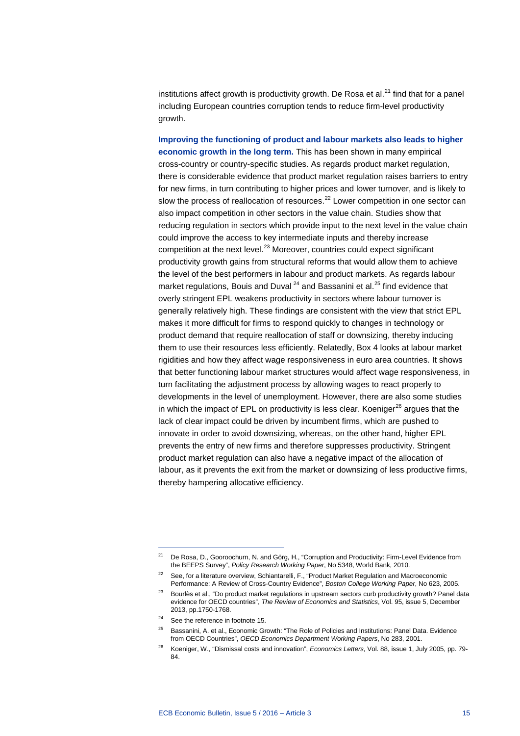institutions affect growth is productivity growth. De Rosa et al.<sup>[21](#page-14-0)</sup> find that for a panel including European countries corruption tends to reduce firm-level productivity growth.

**Improving the functioning of product and labour markets also leads to higher economic growth in the long term.** This has been shown in many empirical cross-country or country-specific studies. As regards product market regulation, there is considerable evidence that product market regulation raises barriers to entry for new firms, in turn contributing to higher prices and lower turnover, and is likely to slow the process of reallocation of resources. [22](#page-14-1) Lower competition in one sector can also impact competition in other sectors in the value chain. Studies show that reducing regulation in sectors which provide input to the next level in the value chain could improve the access to key intermediate inputs and thereby increase competition at the next level.<sup>[23](#page-14-2)</sup> Moreover, countries could expect significant productivity growth gains from structural reforms that would allow them to achieve the level of the best performers in labour and product markets. As regards labour market regulations, Bouis and Duval<sup>[24](#page-14-3)</sup> and Bassanini et al.<sup>[25](#page-14-4)</sup> find evidence that overly stringent EPL weakens productivity in sectors where labour turnover is generally relatively high. These findings are consistent with the view that strict EPL makes it more difficult for firms to respond quickly to changes in technology or product demand that require reallocation of staff or downsizing, thereby inducing them to use their resources less efficiently. Relatedly, Box 4 looks at labour market rigidities and how they affect wage responsiveness in euro area countries. It shows that better functioning labour market structures would affect wage responsiveness, in turn facilitating the adjustment process by allowing wages to react properly to developments in the level of unemployment. However, there are also some studies in which the impact of EPL on productivity is less clear. Koeniger $^{26}$  $^{26}$  $^{26}$  argues that the lack of clear impact could be driven by incumbent firms, which are pushed to innovate in order to avoid downsizing, whereas, on the other hand, higher EPL prevents the entry of new firms and therefore suppresses productivity. Stringent product market regulation can also have a negative impact of the allocation of labour, as it prevents the exit from the market or downsizing of less productive firms, thereby hampering allocative efficiency.

-

<span id="page-14-0"></span><sup>&</sup>lt;sup>21</sup> De Rosa, D., Gooroochurn, N. and Görg, H., "Corruption and Productivity: Firm-Level Evidence from the BEEPS Survey", *Policy Research Working Paper*, No 5348, World Bank, 2010.

<span id="page-14-1"></span><sup>&</sup>lt;sup>22</sup> See, for a literature overview, Schiantarelli, F., "Product Market Regulation and Macroeconomic Performance: A Review of Cross-Country Evidence", *Boston College Working Paper*, No 623, 2005.

<span id="page-14-2"></span><sup>&</sup>lt;sup>23</sup> Bourlès et al., "Do product market regulations in upstream sectors curb productivity growth? Panel data evidence for OECD countries", *The Review of Economics and Statistics*, Vol. 95, issue 5, December 2013, pp.1750-1768.

<span id="page-14-3"></span><sup>&</sup>lt;sup>24</sup> See the reference in footnote 15.

<span id="page-14-4"></span><sup>&</sup>lt;sup>25</sup> Bassanini, A. et al., Economic Growth: "The Role of Policies and Institutions: Panel Data. Evidence from OECD Countries", *OECD Economics Department Working Papers*, No 283, 2001.

<span id="page-14-5"></span><sup>26</sup> Koeniger, W., "Dismissal costs and innovation", *Economics Letters*, Vol. 88, issue 1, July 2005, pp. 79- 84.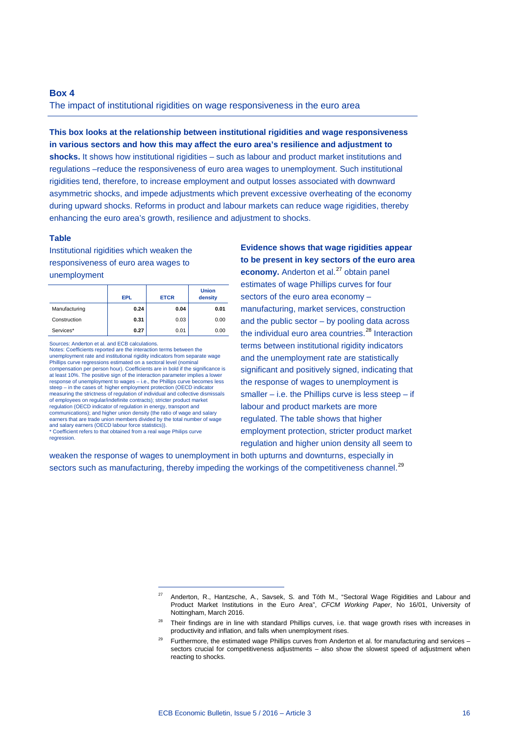#### **Box 4**

The impact of institutional rigidities on wage responsiveness in the euro area

**This box looks at the relationship between institutional rigidities and wage responsiveness in various sectors and how this may affect the euro area's resilience and adjustment to shocks.** It shows how institutional rigidities – such as labour and product market institutions and regulations –reduce the responsiveness of euro area wages to unemployment. Such institutional rigidities tend, therefore, to increase employment and output losses associated with downward asymmetric shocks, and impede adjustments which prevent excessive overheating of the economy during upward shocks. Reforms in product and labour markets can reduce wage rigidities, thereby enhancing the euro area's growth, resilience and adjustment to shocks.

#### **Table**

Institutional rigidities which weaken the responsiveness of euro area wages to unemployment

|               | <b>EPL</b> | <b>ETCR</b> | <b>Union</b><br>density |
|---------------|------------|-------------|-------------------------|
| Manufacturing | 0.24       | 0.04        | 0.01                    |
| Construction  | 0.31       | 0.03        | 0.00                    |
| Services*     | 0.27       | 0.01        | 0.00                    |

Sources: Anderton et al. and ECB calculations.

Notes: Coefficients reported are the interaction terms between the unemployment rate and institutional rigidity indicators from separate wage Phillips curve regressions estimated on a sectoral level (nominal compensation per person hour). Coefficients are in bold if the significance is at least 10%. The positive sign of the interaction parameter implies a lower response of unemployment to wages – i.e., the Phillips curve becomes less steep – in the cases of: higher employment protection (OECD indicator measuring the strictness of regulation of individual and collective dismissals of employees on regular/indefinite contracts); stricter product market regulation (OECD indicator of regulation in energy, transport and communications); and higher union density (the ratio of wage and salary earners that are trade union members divided by the total number of wage and salary earners (OECD labour force statistics)). \* Coefficient refers to that obtained from a real wage Philips curve regression.

-

**Evidence shows that wage rigidities appear to be present in key sectors of the euro area economy.** Anderton et al.<sup>[27](#page-15-0)</sup> obtain panel estimates of wage Phillips curves for four sectors of the euro area economy – manufacturing, market services, construction and the public sector – by pooling data across the individual euro area countries.<sup>[28](#page-15-1)</sup> Interaction terms between institutional rigidity indicators and the unemployment rate are statistically significant and positively signed, indicating that the response of wages to unemployment is smaller – i.e. the Phillips curve is less steep – if labour and product markets are more regulated. The table shows that higher employment protection, stricter product market regulation and higher union density all seem to

<span id="page-15-0"></span>weaken the response of wages to unemployment in both upturns and downturns, especially in sectors such as manufacturing, thereby impeding the workings of the competitiveness channel.<sup>[29](#page-15-2)</sup>

 $27$  Anderton, R., Hantzsche, A., Savsek, S. and Tóth M., "Sectoral Wage Rigidities and Labour and Product Market Institutions in the Euro Area", *CFCM Working Paper*, No 16/01, University of Nottingham, March 2016.

<span id="page-15-1"></span><sup>&</sup>lt;sup>28</sup> Their findings are in line with standard Phillips curves, i.e. that wage growth rises with increases in productivity and inflation, and falls when unemployment rises.

<span id="page-15-2"></span><sup>&</sup>lt;sup>29</sup> Furthermore, the estimated wage Phillips curves from Anderton et al. for manufacturing and services – sectors crucial for competitiveness adjustments – also show the slowest speed of adjustment when reacting to shocks.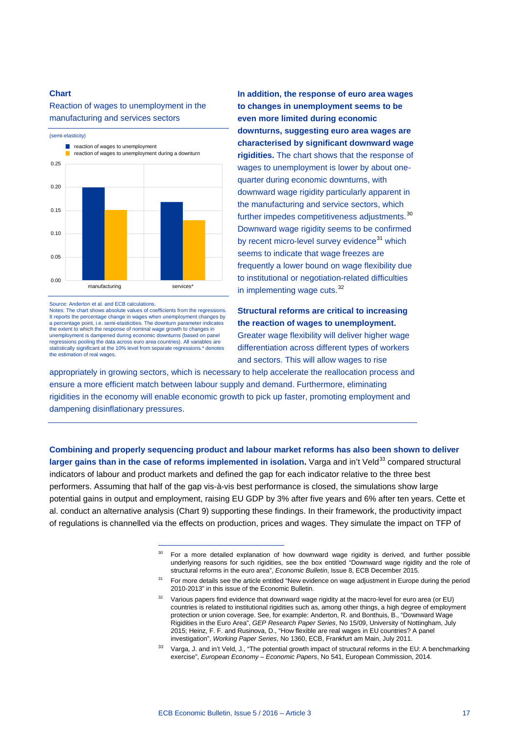Reaction of wages to unemployment in the manufacturing and services sectors



Source: Anderton et al. and ECB calculations.

Notes: The chart shows absolute values of coefficients from the regressions. It reports the percentage change in wages when unemployment changes by a percentage point, i.e. semi-elasticities. The downturn parameter indicates the extent to which the response of nominal wage growth to changes in unemployment is dampened during economic downturns (based on panel regressions pooling the data across euro area countries). All variables are statistically significant at the 10% level from separate regressions.\* denotes the estimation of real wages.

-

**In addition, the response of euro area wages to changes in unemployment seems to be even more limited during economic downturns, suggesting euro area wages are characterised by significant downward wage rigidities.** The chart shows that the response of wages to unemployment is lower by about onequarter during economic downturns, with downward wage rigidity particularly apparent in the manufacturing and service sectors, which further impedes competitiveness adjustments.<sup>[30](#page-16-0)</sup> Downward wage rigidity seems to be confirmed by recent micro-level survey evidence<sup>[31](#page-16-1)</sup> which seems to indicate that wage freezes are frequently a lower bound on wage flexibility due to institutional or negotiation-related difficulties in implementing wage cuts.<sup>[32](#page-16-2)</sup>

**Structural reforms are critical to increasing the reaction of wages to unemployment.** Greater wage flexibility will deliver higher wage differentiation across different types of workers and sectors. This will allow wages to rise

appropriately in growing sectors, which is necessary to help accelerate the reallocation process and ensure a more efficient match between labour supply and demand. Furthermore, eliminating rigidities in the economy will enable economic growth to pick up faster, promoting employment and dampening disinflationary pressures.

<span id="page-16-2"></span><span id="page-16-1"></span><span id="page-16-0"></span>**Combining and properly sequencing product and labour market reforms has also been shown to deliver larger gains than in the case of reforms implemented in isolation.** Varga and in't Veld<sup>[33](#page-16-3)</sup> compared structural indicators of labour and product markets and defined the gap for each indicator relative to the three best performers. Assuming that half of the gap vis-à-vis best performance is closed, the simulations show large potential gains in output and employment, raising EU GDP by 3% after five years and 6% after ten years. Cette et al. conduct an alternative analysis [\(Chart 9\)](#page-17-0) supporting these findings. In their framework, the productivity impact of regulations is channelled via the effects on production, prices and wages. They simulate the impact on TFP of

<sup>30</sup> For a more detailed explanation of how downward wage rigidity is derived, and further possible underlying reasons for such rigidities, see the box entitled "Downward wage rigidity and the role of structural reforms in the euro area", *Economic Bulletin*, Issue 8, ECB December 2015.

<sup>31</sup> For more details see the article entitled "New evidence on wage adjustment in Europe during the period 2010-2013" in this issue of the Economic Bulletin.

<sup>&</sup>lt;sup>32</sup> Various papers find evidence that downward wage rigidity at the macro-level for euro area (or EU) countries is related to institutional rigidities such as, among other things, a high degree of employment protection or union coverage. See, for example: Anderton, R. and Bonthuis, B., "Downward Wage Rigidities in the Euro Area", *GEP Research Paper Series*, No 15/09, University of Nottingham, July 2015; Heinz, F. F. and Rusinova, D., "How flexible are real wages in EU countries? A panel investigation", *Working Paper Series*, No 1360, ECB, Frankfurt am Main, July 2011.

<span id="page-16-3"></span><sup>33</sup> Varga, J. and in't Veld, J., "The potential growth impact of structural reforms in the EU: A benchmarking exercise", *European Economy – Economic Papers*, No 541, European Commission, 2014.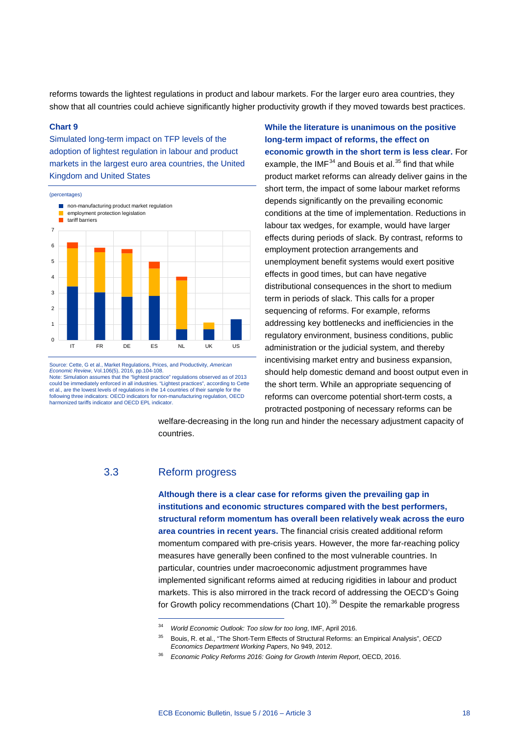reforms towards the lightest regulations in product and labour markets. For the larger euro area countries, they show that all countries could achieve significantly higher productivity growth if they moved towards best practices.

#### <span id="page-17-0"></span>**Chart 9**

Simulated long-term impact on TFP levels of the adoption of lightest regulation in labour and product markets in the largest euro area countries, the United Kingdom and United States



Source: Cette, G et al., Market Regulations, Prices, and Productivity, *American Economic Review*, Vol.106(5), 2016, pp.104-108. Note: Simulation assumes that the "lightest practice" regulations observed as of 2013<br>could be immediately enforced in all industries. "Lightest practices", according to Cette could be immediately enforced in all industries. "Lightest practices", according to Cette<br>et al., are the lowest levels of regulations in the 14 countries of their sample for the<br>following three indicators: OECD indicators harmonized tariffs indicator and OECD EPL indicator.

**While the literature is unanimous on the positive long-term impact of reforms, the effect on economic growth in the short term is less clear.** For example, the IMF $^{34}$  $^{34}$  $^{34}$  and Bouis et al.<sup>[35](#page-17-2)</sup> find that while product market reforms can already deliver gains in the short term, the impact of some labour market reforms depends significantly on the prevailing economic conditions at the time of implementation. Reductions in labour tax wedges, for example, would have larger effects during periods of slack. By contrast, reforms to employment protection arrangements and unemployment benefit systems would exert positive effects in good times, but can have negative distributional consequences in the short to medium term in periods of slack. This calls for a proper sequencing of reforms. For example, reforms addressing key bottlenecks and inefficiencies in the regulatory environment, business conditions, public administration or the judicial system, and thereby incentivising market entry and business expansion, should help domestic demand and boost output even in the short term. While an appropriate sequencing of reforms can overcome potential short-term costs, a protracted postponing of necessary reforms can be

welfare-decreasing in the long run and hinder the necessary adjustment capacity of countries.

### 3.3 Reform progress

-

**Although there is a clear case for reforms given the prevailing gap in institutions and economic structures compared with the best performers, structural reform momentum has overall been relatively weak across the euro area countries in recent years.** The financial crisis created additional reform momentum compared with pre-crisis years. However, the more far-reaching policy measures have generally been confined to the most vulnerable countries. In particular, countries under macroeconomic adjustment programmes have implemented significant reforms aimed at reducing rigidities in labour and product markets. This is also mirrored in the track record of addressing the OECD's Going for Growth policy recommendations [\(Chart](#page-18-0) 10).<sup>[36](#page-17-3)</sup> Despite the remarkable progress

<sup>34</sup> *World Economic Outlook: Too slow for too long*, IMF, April 2016.

<span id="page-17-3"></span><span id="page-17-2"></span><span id="page-17-1"></span><sup>35</sup> Bouis, R. et al., "The Short-Term Effects of Structural Reforms: an Empirical Analysis", *OECD Economics Department Working Papers*, No 949, 2012.

<sup>36</sup> *Economic Policy Reforms 2016: Going for Growth Interim Report*, OECD, 2016.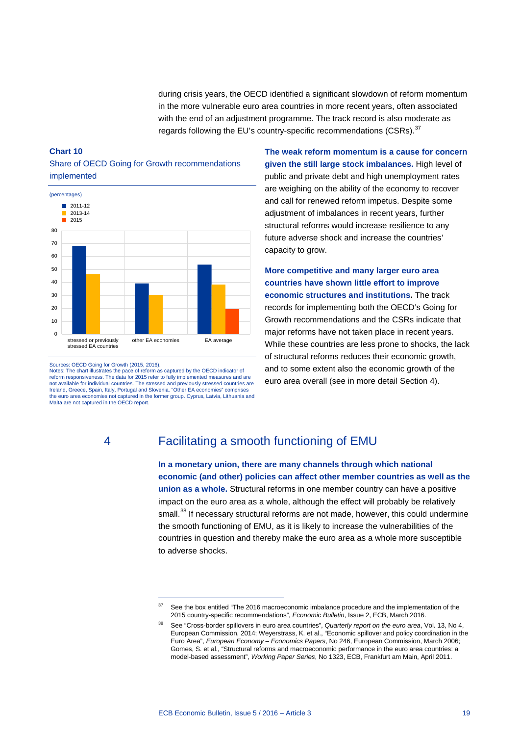during crisis years, the OECD identified a significant slowdown of reform momentum in the more vulnerable euro area countries in more recent years, often associated with the end of an adjustment programme. The track record is also moderate as regards following the EU's country-specific recommendations (CSRs).<sup>[37](#page-18-2)</sup>

### <span id="page-18-0"></span>**Chart 10** Share of OECD Going for Growth recommendations implemented



<span id="page-18-1"></span>Sources: OECD Going for Growth (2015, 2016). Notes: The chart illustrates the pace of reform as captured by the OECD indicator of reform responsiveness. The data for 2015 refer to fully implemented measures and are not available for individual countries. The stressed and previously stressed countries are Ireland, Greece, Spain, Italy, Portugal and Slovenia. "Other EA economies" comprises the euro area economies not captured in the former group. Cyprus, Latvia, Lithuania and Malta are not captured in the OECD report.

-

**The weak reform momentum is a cause for concern given the still large stock imbalances.** High level of public and private debt and high unemployment rates are weighing on the ability of the economy to recover and call for renewed reform impetus. Despite some adjustment of imbalances in recent years, further structural reforms would increase resilience to any future adverse shock and increase the countries' capacity to grow.

**More competitive and many larger euro area countries have shown little effort to improve economic structures and institutions.** The track records for implementing both the OECD's Going for Growth recommendations and the CSRs indicate that major reforms have not taken place in recent years. While these countries are less prone to shocks, the lack of structural reforms reduces their economic growth, and to some extent also the economic growth of the euro area overall (see in more detail Section [4\)](#page-18-1).

# 4 Facilitating a smooth functioning of EMU

**In a monetary union, there are many channels through which national economic (and other) policies can affect other member countries as well as the union as a whole.** Structural reforms in one member country can have a positive impact on the euro area as a whole, although the effect will probably be relatively small.<sup>[38](#page-18-3)</sup> If necessary structural reforms are not made, however, this could undermine the smooth functioning of EMU, as it is likely to increase the vulnerabilities of the countries in question and thereby make the euro area as a whole more susceptible to adverse shocks.

<span id="page-18-3"></span><span id="page-18-2"></span><sup>&</sup>lt;sup>37</sup> See the box entitled "The 2016 macroeconomic imbalance procedure and the implementation of the 2015 country-specific recommendations", *Economic Bulletin*, Issue 2, ECB, March 2016.

<sup>38</sup> See "Cross-border spillovers in euro area countries", *Quarterly report on the euro area*, Vol. 13, No 4, European Commission, 2014; Weyerstrass, K. et al., "Economic spillover and policy coordination in the Euro Area", *European Economy – Economics Papers*, No 246, European Commission, March 2006; Gomes, S. et al., "Structural reforms and macroeconomic performance in the euro area countries: a model-based assessment", *Working Paper Series*, No 1323, ECB, Frankfurt am Main, April 2011.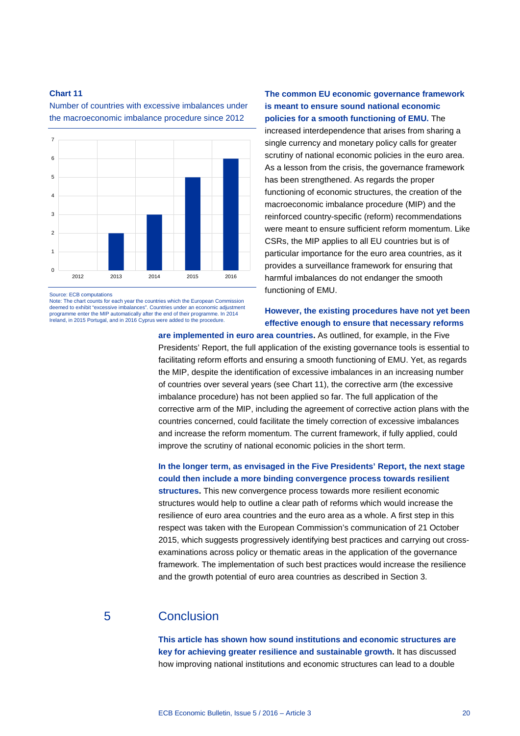1 2 3 4 5 6 7

<span id="page-19-0"></span>Number of countries with excessive imbalances under the macroeconomic imbalance procedure since 2012



 $\theta$ 

Note: The chart counts for each year the countries which the European Commission deemed to exhibit "excessive imbalances". Countries under an economic adjustment programme enter the MIP automatically after the end of their programme. In 2014 Ireland, in 2015 Portugal, and in 2016 Cyprus were added to the procedure.

2012 2013 2014 2015 2016

**The common EU economic governance framework is meant to ensure sound national economic policies for a smooth functioning of EMU.** The increased interdependence that arises from sharing a single currency and monetary policy calls for greater scrutiny of national economic policies in the euro area. As a lesson from the crisis, the governance framework has been strengthened. As regards the proper functioning of economic structures, the creation of the macroeconomic imbalance procedure (MIP) and the reinforced country-specific (reform) recommendations were meant to ensure sufficient reform momentum. Like CSRs, the MIP applies to all EU countries but is of particular importance for the euro area countries, as it provides a surveillance framework for ensuring that harmful imbalances do not endanger the smooth functioning of EMU.

### **However, the existing procedures have not yet been effective enough to ensure that necessary reforms**

**are implemented in euro area countries.** As outlined, for example, in the Five Presidents' Report, the full application of the existing governance tools is essential to facilitating reform efforts and ensuring a smooth functioning of EMU. Yet, as regards the MIP, despite the identification of excessive imbalances in an increasing number of countries over several years (see [Chart 11\)](#page-19-0), the corrective arm (the excessive imbalance procedure) has not been applied so far. The full application of the corrective arm of the MIP, including the agreement of corrective action plans with the countries concerned, could facilitate the timely correction of excessive imbalances and increase the reform momentum. The current framework, if fully applied, could improve the scrutiny of national economic policies in the short term.

**In the longer term, as envisaged in the Five Presidents' Report, the next stage could then include a more binding convergence process towards resilient structures.** This new convergence process towards more resilient economic structures would help to outline a clear path of reforms which would increase the resilience of euro area countries and the euro area as a whole. A first step in this respect was taken with the European Commission's communication of 21 October 2015, which suggests progressively identifying best practices and carrying out crossexaminations across policy or thematic areas in the application of the governance framework. The implementation of such best practices would increase the resilience and the growth potential of euro area countries as described in Section 3.

### 5 Conclusion

**This article has shown how sound institutions and economic structures are key for achieving greater resilience and sustainable growth.** It has discussed how improving national institutions and economic structures can lead to a double